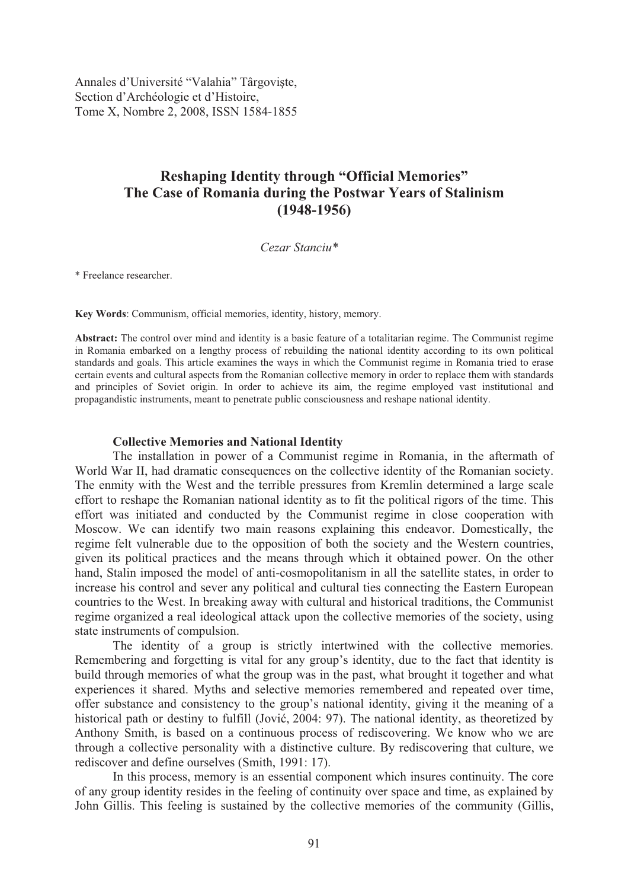Annales d'Université "Valahia" Târgoviște, Section d'Archéologie et d'Histoire, Tome X, Nombre 2, 2008, ISSN 1584-1855

# **Reshaping Identity through "Official Memories" The Case of Romania during the Postwar Years of Stalinism (1948-1956)**

*Cezar Stanciu\** 

\* Freelance researcher.

**Key Words**: Communism, official memories, identity, history, memory.

**Abstract:** The control over mind and identity is a basic feature of a totalitarian regime. The Communist regime in Romania embarked on a lengthy process of rebuilding the national identity according to its own political standards and goals. This article examines the ways in which the Communist regime in Romania tried to erase certain events and cultural aspects from the Romanian collective memory in order to replace them with standards and principles of Soviet origin. In order to achieve its aim, the regime employed vast institutional and propagandistic instruments, meant to penetrate public consciousness and reshape national identity.

# **Collective Memories and National Identity**

The installation in power of a Communist regime in Romania, in the aftermath of World War II, had dramatic consequences on the collective identity of the Romanian society. The enmity with the West and the terrible pressures from Kremlin determined a large scale effort to reshape the Romanian national identity as to fit the political rigors of the time. This effort was initiated and conducted by the Communist regime in close cooperation with Moscow. We can identify two main reasons explaining this endeavor. Domestically, the regime felt vulnerable due to the opposition of both the society and the Western countries, given its political practices and the means through which it obtained power. On the other hand, Stalin imposed the model of anti-cosmopolitanism in all the satellite states, in order to increase his control and sever any political and cultural ties connecting the Eastern European countries to the West. In breaking away with cultural and historical traditions, the Communist regime organized a real ideological attack upon the collective memories of the society, using state instruments of compulsion.

The identity of a group is strictly intertwined with the collective memories. Remembering and forgetting is vital for any group's identity, due to the fact that identity is build through memories of what the group was in the past, what brought it together and what experiences it shared. Myths and selective memories remembered and repeated over time, offer substance and consistency to the group's national identity, giving it the meaning of a historical path or destiny to fulfill (Jović, 2004: 97). The national identity, as theoretized by Anthony Smith, is based on a continuous process of rediscovering. We know who we are through a collective personality with a distinctive culture. By rediscovering that culture, we rediscover and define ourselves (Smith, 1991: 17).

In this process, memory is an essential component which insures continuity. The core of any group identity resides in the feeling of continuity over space and time, as explained by John Gillis. This feeling is sustained by the collective memories of the community (Gillis,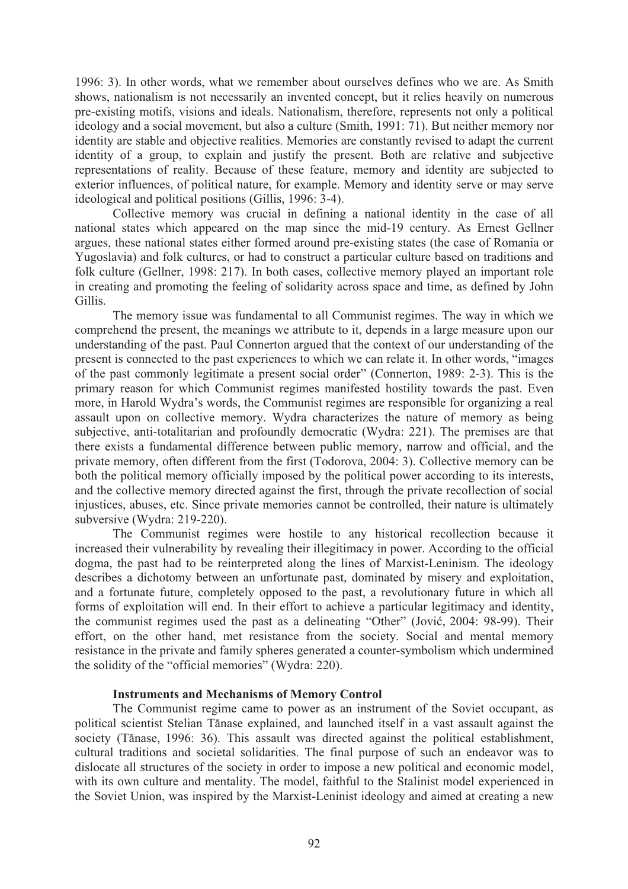1996: 3). In other words, what we remember about ourselves defines who we are. As Smith shows, nationalism is not necessarily an invented concept, but it relies heavily on numerous pre-existing motifs, visions and ideals. Nationalism, therefore, represents not only a political ideology and a social movement, but also a culture (Smith, 1991: 71). But neither memory nor identity are stable and objective realities. Memories are constantly revised to adapt the current identity of a group, to explain and justify the present. Both are relative and subjective representations of reality. Because of these feature, memory and identity are subjected to exterior influences, of political nature, for example. Memory and identity serve or may serve ideological and political positions (Gillis, 1996: 3-4).

Collective memory was crucial in defining a national identity in the case of all national states which appeared on the map since the mid-19 century. As Ernest Gellner argues, these national states either formed around pre-existing states (the case of Romania or Yugoslavia) and folk cultures, or had to construct a particular culture based on traditions and folk culture (Gellner, 1998: 217). In both cases, collective memory played an important role in creating and promoting the feeling of solidarity across space and time, as defined by John Gillis.

The memory issue was fundamental to all Communist regimes. The way in which we comprehend the present, the meanings we attribute to it, depends in a large measure upon our understanding of the past. Paul Connerton argued that the context of our understanding of the present is connected to the past experiences to which we can relate it. In other words, "images of the past commonly legitimate a present social order" (Connerton, 1989: 2-3). This is the primary reason for which Communist regimes manifested hostility towards the past. Even more, in Harold Wydra's words, the Communist regimes are responsible for organizing a real assault upon on collective memory. Wydra characterizes the nature of memory as being subjective, anti-totalitarian and profoundly democratic (Wydra: 221). The premises are that there exists a fundamental difference between public memory, narrow and official, and the private memory, often different from the first (Todorova, 2004: 3). Collective memory can be both the political memory officially imposed by the political power according to its interests, and the collective memory directed against the first, through the private recollection of social injustices, abuses, etc. Since private memories cannot be controlled, their nature is ultimately subversive (Wydra: 219-220).

The Communist regimes were hostile to any historical recollection because it increased their vulnerability by revealing their illegitimacy in power. According to the official dogma, the past had to be reinterpreted along the lines of Marxist-Leninism. The ideology describes a dichotomy between an unfortunate past, dominated by misery and exploitation, and a fortunate future, completely opposed to the past, a revolutionary future in which all forms of exploitation will end. In their effort to achieve a particular legitimacy and identity, the communist regimes used the past as a delineating "Other" (Jović, 2004: 98-99). Their effort, on the other hand, met resistance from the society. Social and mental memory resistance in the private and family spheres generated a counter-symbolism which undermined the solidity of the "official memories" (Wydra: 220).

# **Instruments and Mechanisms of Memory Control**

The Communist regime came to power as an instrument of the Soviet occupant, as political scientist Stelian Tănase explained, and launched itself in a vast assault against the society (Tănase, 1996: 36). This assault was directed against the political establishment, cultural traditions and societal solidarities. The final purpose of such an endeavor was to dislocate all structures of the society in order to impose a new political and economic model, with its own culture and mentality. The model, faithful to the Stalinist model experienced in the Soviet Union, was inspired by the Marxist-Leninist ideology and aimed at creating a new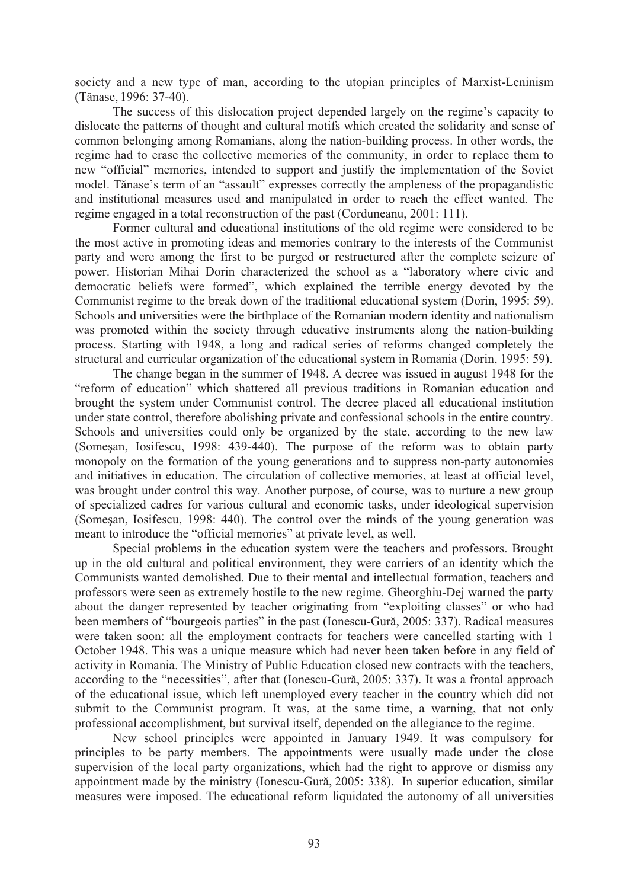society and a new type of man, according to the utopian principles of Marxist-Leninism (Tănase, 1996: 37-40).

The success of this dislocation project depended largely on the regime's capacity to dislocate the patterns of thought and cultural motifs which created the solidarity and sense of common belonging among Romanians, along the nation-building process. In other words, the regime had to erase the collective memories of the community, in order to replace them to new "official" memories, intended to support and justify the implementation of the Soviet model. Tănase's term of an "assault" expresses correctly the ampleness of the propagandistic and institutional measures used and manipulated in order to reach the effect wanted. The regime engaged in a total reconstruction of the past (Corduneanu, 2001: 111).

Former cultural and educational institutions of the old regime were considered to be the most active in promoting ideas and memories contrary to the interests of the Communist party and were among the first to be purged or restructured after the complete seizure of power. Historian Mihai Dorin characterized the school as a "laboratory where civic and democratic beliefs were formed", which explained the terrible energy devoted by the Communist regime to the break down of the traditional educational system (Dorin, 1995: 59). Schools and universities were the birthplace of the Romanian modern identity and nationalism was promoted within the society through educative instruments along the nation-building process. Starting with 1948, a long and radical series of reforms changed completely the structural and curricular organization of the educational system in Romania (Dorin, 1995: 59).

The change began in the summer of 1948. A decree was issued in august 1948 for the "reform of education" which shattered all previous traditions in Romanian education and brought the system under Communist control. The decree placed all educational institution under state control, therefore abolishing private and confessional schools in the entire country. Schools and universities could only be organized by the state, according to the new law (Somesan, Iosifescu, 1998: 439-440). The purpose of the reform was to obtain party monopoly on the formation of the young generations and to suppress non-party autonomies and initiatives in education. The circulation of collective memories, at least at official level, was brought under control this way. Another purpose, of course, was to nurture a new group of specialized cadres for various cultural and economic tasks, under ideological supervision (Somesan, Iosifescu, 1998: 440). The control over the minds of the young generation was meant to introduce the "official memories" at private level, as well.

Special problems in the education system were the teachers and professors. Brought up in the old cultural and political environment, they were carriers of an identity which the Communists wanted demolished. Due to their mental and intellectual formation, teachers and professors were seen as extremely hostile to the new regime. Gheorghiu-Dej warned the party about the danger represented by teacher originating from "exploiting classes" or who had been members of "bourgeois parties" in the past (Ionescu-Gură, 2005: 337). Radical measures were taken soon: all the employment contracts for teachers were cancelled starting with 1 October 1948. This was a unique measure which had never been taken before in any field of activity in Romania. The Ministry of Public Education closed new contracts with the teachers, according to the "necessities", after that (Ionescu-Gura, 2005: 337). It was a frontal approach of the educational issue, which left unemployed every teacher in the country which did not submit to the Communist program. It was, at the same time, a warning, that not only professional accomplishment, but survival itself, depended on the allegiance to the regime.

New school principles were appointed in January 1949. It was compulsory for principles to be party members. The appointments were usually made under the close supervision of the local party organizations, which had the right to approve or dismiss any appointment made by the ministry (Ionescu-Gura, 2005: 338). In superior education, similar measures were imposed. The educational reform liquidated the autonomy of all universities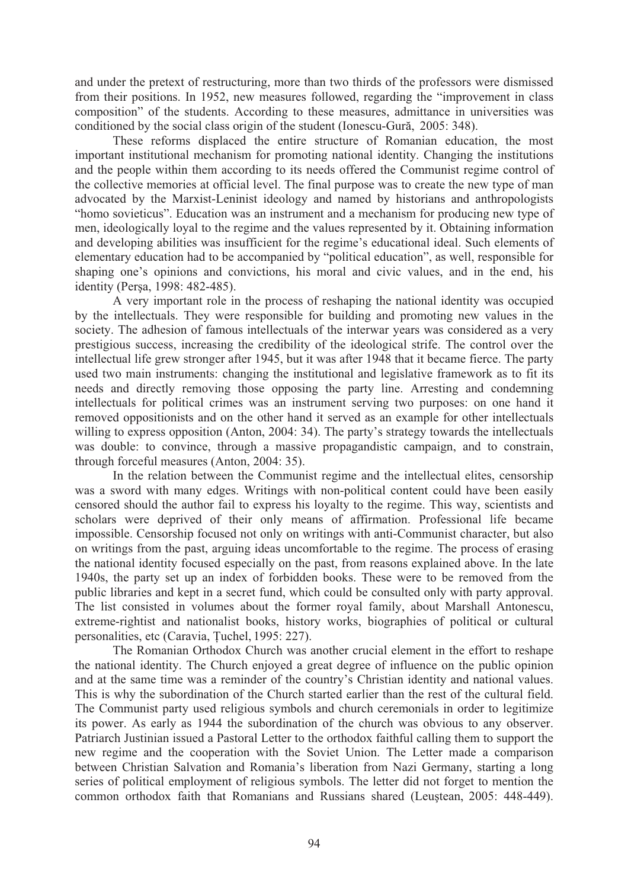and under the pretext of restructuring, more than two thirds of the professors were dismissed from their positions. In 1952, new measures followed, regarding the "improvement in class composition" of the students. According to these measures, admittance in universities was conditioned by the social class origin of the student (Ionescu-Gură, 2005: 348).

These reforms displaced the entire structure of Romanian education, the most important institutional mechanism for promoting national identity. Changing the institutions and the people within them according to its needs offered the Communist regime control of the collective memories at official level. The final purpose was to create the new type of man advocated by the Marxist-Leninist ideology and named by historians and anthropologists "homo sovieticus". Education was an instrument and a mechanism for producing new type of men, ideologically loyal to the regime and the values represented by it. Obtaining information and developing abilities was insufficient for the regime's educational ideal. Such elements of elementary education had to be accompanied by "political education", as well, responsible for shaping one's opinions and convictions, his moral and civic values, and in the end, his identity (Persa, 1998: 482-485).

A very important role in the process of reshaping the national identity was occupied by the intellectuals. They were responsible for building and promoting new values in the society. The adhesion of famous intellectuals of the interwar years was considered as a very prestigious success, increasing the credibility of the ideological strife. The control over the intellectual life grew stronger after 1945, but it was after 1948 that it became fierce. The party used two main instruments: changing the institutional and legislative framework as to fit its needs and directly removing those opposing the party line. Arresting and condemning intellectuals for political crimes was an instrument serving two purposes: on one hand it removed oppositionists and on the other hand it served as an example for other intellectuals willing to express opposition (Anton, 2004: 34). The party's strategy towards the intellectuals was double: to convince, through a massive propagandistic campaign, and to constrain, through forceful measures (Anton, 2004: 35).

In the relation between the Communist regime and the intellectual elites, censorship was a sword with many edges. Writings with non-political content could have been easily censored should the author fail to express his loyalty to the regime. This way, scientists and scholars were deprived of their only means of affirmation. Professional life became impossible. Censorship focused not only on writings with anti-Communist character, but also on writings from the past, arguing ideas uncomfortable to the regime. The process of erasing the national identity focused especially on the past, from reasons explained above. In the late 1940s, the party set up an index of forbidden books. These were to be removed from the public libraries and kept in a secret fund, which could be consulted only with party approval. The list consisted in volumes about the former royal family, about Marshall Antonescu, extreme-rightist and nationalist books, history works, biographies of political or cultural personalities, etc (Caravia, Tuchel, 1995: 227).

The Romanian Orthodox Church was another crucial element in the effort to reshape the national identity. The Church enjoyed a great degree of influence on the public opinion and at the same time was a reminder of the country's Christian identity and national values. This is why the subordination of the Church started earlier than the rest of the cultural field. The Communist party used religious symbols and church ceremonials in order to legitimize its power. As early as 1944 the subordination of the church was obvious to any observer. Patriarch Justinian issued a Pastoral Letter to the orthodox faithful calling them to support the new regime and the cooperation with the Soviet Union. The Letter made a comparison between Christian Salvation and Romania's liberation from Nazi Germany, starting a long series of political employment of religious symbols. The letter did not forget to mention the common orthodox faith that Romanians and Russians shared (Leustean, 2005: 448-449).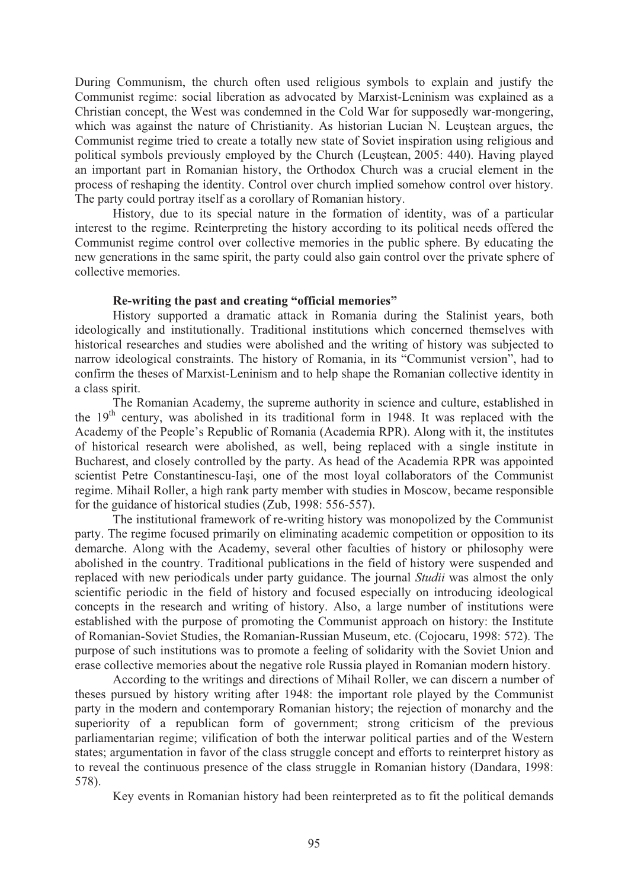During Communism, the church often used religious symbols to explain and justify the Communist regime: social liberation as advocated by Marxist-Leninism was explained as a Christian concept, the West was condemned in the Cold War for supposedly war-mongering, which was against the nature of Christianity. As historian Lucian N. Leustean argues, the Communist regime tried to create a totally new state of Soviet inspiration using religious and political symbols previously employed by the Church (Leustean, 2005: 440). Having played an important part in Romanian history, the Orthodox Church was a crucial element in the process of reshaping the identity. Control over church implied somehow control over history. The party could portray itself as a corollary of Romanian history.

History, due to its special nature in the formation of identity, was of a particular interest to the regime. Reinterpreting the history according to its political needs offered the Communist regime control over collective memories in the public sphere. By educating the new generations in the same spirit, the party could also gain control over the private sphere of collective memories.

#### **Re-writing the past and creating "official memories"**

History supported a dramatic attack in Romania during the Stalinist years, both ideologically and institutionally. Traditional institutions which concerned themselves with historical researches and studies were abolished and the writing of history was subjected to narrow ideological constraints. The history of Romania, in its "Communist version", had to confirm the theses of Marxist-Leninism and to help shape the Romanian collective identity in a class spirit.

The Romanian Academy, the supreme authority in science and culture, established in the  $19<sup>th</sup>$  century, was abolished in its traditional form in 1948. It was replaced with the Academy of the People's Republic of Romania (Academia RPR). Along with it, the institutes of historical research were abolished, as well, being replaced with a single institute in Bucharest, and closely controlled by the party. As head of the Academia RPR was appointed scientist Petre Constantinescu-Iași, one of the most loyal collaborators of the Communist regime. Mihail Roller, a high rank party member with studies in Moscow, became responsible for the guidance of historical studies (Zub, 1998: 556-557).

The institutional framework of re-writing history was monopolized by the Communist party. The regime focused primarily on eliminating academic competition or opposition to its demarche. Along with the Academy, several other faculties of history or philosophy were abolished in the country. Traditional publications in the field of history were suspended and replaced with new periodicals under party guidance. The journal *Studii* was almost the only scientific periodic in the field of history and focused especially on introducing ideological concepts in the research and writing of history. Also, a large number of institutions were established with the purpose of promoting the Communist approach on history: the Institute of Romanian-Soviet Studies, the Romanian-Russian Museum, etc. (Cojocaru, 1998: 572). The purpose of such institutions was to promote a feeling of solidarity with the Soviet Union and erase collective memories about the negative role Russia played in Romanian modern history.

According to the writings and directions of Mihail Roller, we can discern a number of theses pursued by history writing after 1948: the important role played by the Communist party in the modern and contemporary Romanian history; the rejection of monarchy and the superiority of a republican form of government; strong criticism of the previous parliamentarian regime; vilification of both the interwar political parties and of the Western states; argumentation in favor of the class struggle concept and efforts to reinterpret history as to reveal the continuous presence of the class struggle in Romanian history (Dandara, 1998: 578).

Key events in Romanian history had been reinterpreted as to fit the political demands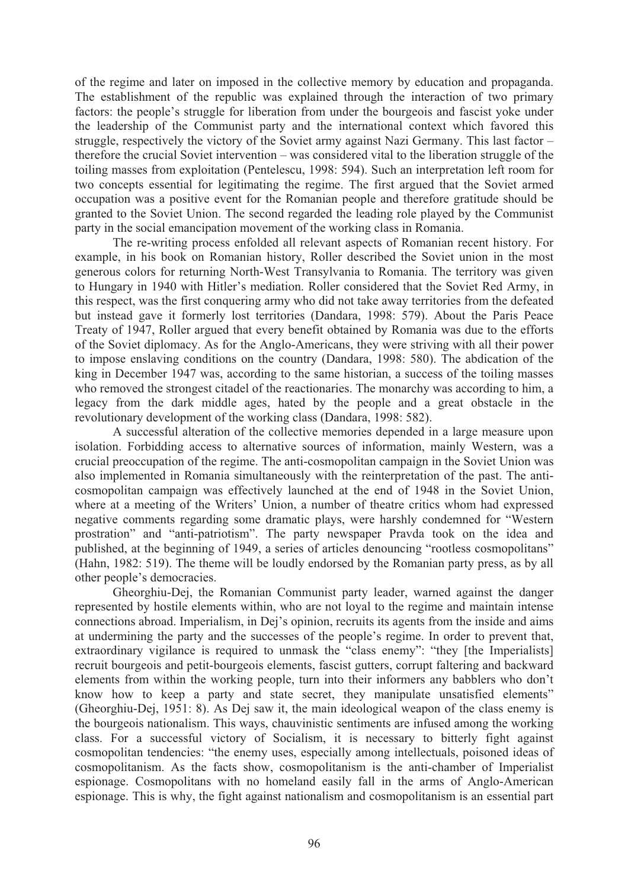of the regime and later on imposed in the collective memory by education and propaganda. The establishment of the republic was explained through the interaction of two primary factors: the people's struggle for liberation from under the bourgeois and fascist yoke under the leadership of the Communist party and the international context which favored this struggle, respectively the victory of the Soviet army against Nazi Germany. This last factor – therefore the crucial Soviet intervention – was considered vital to the liberation struggle of the toiling masses from exploitation (Pentelescu, 1998: 594). Such an interpretation left room for two concepts essential for legitimating the regime. The first argued that the Soviet armed occupation was a positive event for the Romanian people and therefore gratitude should be granted to the Soviet Union. The second regarded the leading role played by the Communist party in the social emancipation movement of the working class in Romania.

The re-writing process enfolded all relevant aspects of Romanian recent history. For example, in his book on Romanian history, Roller described the Soviet union in the most generous colors for returning North-West Transylvania to Romania. The territory was given to Hungary in 1940 with Hitler's mediation. Roller considered that the Soviet Red Army, in this respect, was the first conquering army who did not take away territories from the defeated but instead gave it formerly lost territories (Dandara, 1998: 579). About the Paris Peace Treaty of 1947, Roller argued that every benefit obtained by Romania was due to the efforts of the Soviet diplomacy. As for the Anglo-Americans, they were striving with all their power to impose enslaving conditions on the country (Dandara, 1998: 580). The abdication of the king in December 1947 was, according to the same historian, a success of the toiling masses who removed the strongest citadel of the reactionaries. The monarchy was according to him, a legacy from the dark middle ages, hated by the people and a great obstacle in the revolutionary development of the working class (Dandara, 1998: 582).

A successful alteration of the collective memories depended in a large measure upon isolation. Forbidding access to alternative sources of information, mainly Western, was a crucial preoccupation of the regime. The anti-cosmopolitan campaign in the Soviet Union was also implemented in Romania simultaneously with the reinterpretation of the past. The anticosmopolitan campaign was effectively launched at the end of 1948 in the Soviet Union, where at a meeting of the Writers' Union, a number of theatre critics whom had expressed negative comments regarding some dramatic plays, were harshly condemned for "Western prostration" and "anti-patriotism". The party newspaper Pravda took on the idea and published, at the beginning of 1949, a series of articles denouncing "rootless cosmopolitans" (Hahn, 1982: 519). The theme will be loudly endorsed by the Romanian party press, as by all other people's democracies.

Gheorghiu-Dej, the Romanian Communist party leader, warned against the danger represented by hostile elements within, who are not loyal to the regime and maintain intense connections abroad. Imperialism, in Dej's opinion, recruits its agents from the inside and aims at undermining the party and the successes of the people's regime. In order to prevent that, extraordinary vigilance is required to unmask the "class enemy": "they [the Imperialists] recruit bourgeois and petit-bourgeois elements, fascist gutters, corrupt faltering and backward elements from within the working people, turn into their informers any babblers who don't know how to keep a party and state secret, they manipulate unsatisfied elements" (Gheorghiu-Dej, 1951: 8). As Dej saw it, the main ideological weapon of the class enemy is the bourgeois nationalism. This ways, chauvinistic sentiments are infused among the working class. For a successful victory of Socialism, it is necessary to bitterly fight against cosmopolitan tendencies: "the enemy uses, especially among intellectuals, poisoned ideas of cosmopolitanism. As the facts show, cosmopolitanism is the anti-chamber of Imperialist espionage. Cosmopolitans with no homeland easily fall in the arms of Anglo-American espionage. This is why, the fight against nationalism and cosmopolitanism is an essential part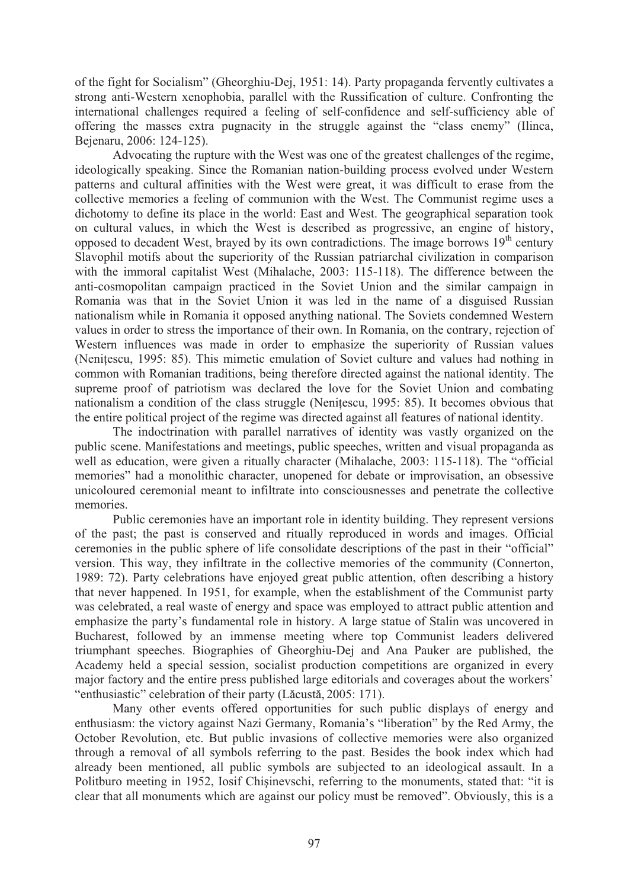of the fight for Socialism" (Gheorghiu-Dej, 1951: 14). Party propaganda fervently cultivates a strong anti-Western xenophobia, parallel with the Russification of culture. Confronting the international challenges required a feeling of self-confidence and self-sufficiency able of offering the masses extra pugnacity in the struggle against the "class enemy" (Ilinca, Bejenaru, 2006: 124-125).

Advocating the rupture with the West was one of the greatest challenges of the regime, ideologically speaking. Since the Romanian nation-building process evolved under Western patterns and cultural affinities with the West were great, it was difficult to erase from the collective memories a feeling of communion with the West. The Communist regime uses a dichotomy to define its place in the world: East and West. The geographical separation took on cultural values, in which the West is described as progressive, an engine of history, opposed to decadent West, brayed by its own contradictions. The image borrows  $19<sup>th</sup>$  century Slavophil motifs about the superiority of the Russian patriarchal civilization in comparison with the immoral capitalist West (Mihalache, 2003: 115-118). The difference between the anti-cosmopolitan campaign practiced in the Soviet Union and the similar campaign in Romania was that in the Soviet Union it was led in the name of a disguised Russian nationalism while in Romania it opposed anything national. The Soviets condemned Western values in order to stress the importance of their own. In Romania, on the contrary, rejection of Western influences was made in order to emphasize the superiority of Russian values (Nenitescu, 1995: 85). This mimetic emulation of Soviet culture and values had nothing in common with Romanian traditions, being therefore directed against the national identity. The supreme proof of patriotism was declared the love for the Soviet Union and combating nationalism a condition of the class struggle (Nenitescu, 1995: 85). It becomes obvious that the entire political project of the regime was directed against all features of national identity.

The indoctrination with parallel narratives of identity was vastly organized on the public scene. Manifestations and meetings, public speeches, written and visual propaganda as well as education, were given a ritually character (Mihalache, 2003: 115-118). The "official memories" had a monolithic character, unopened for debate or improvisation, an obsessive unicoloured ceremonial meant to infiltrate into consciousnesses and penetrate the collective memories.

Public ceremonies have an important role in identity building. They represent versions of the past; the past is conserved and ritually reproduced in words and images. Official ceremonies in the public sphere of life consolidate descriptions of the past in their "official" version. This way, they infiltrate in the collective memories of the community (Connerton, 1989: 72). Party celebrations have enjoyed great public attention, often describing a history that never happened. In 1951, for example, when the establishment of the Communist party was celebrated, a real waste of energy and space was employed to attract public attention and emphasize the party's fundamental role in history. A large statue of Stalin was uncovered in Bucharest, followed by an immense meeting where top Communist leaders delivered triumphant speeches. Biographies of Gheorghiu-Dej and Ana Pauker are published, the Academy held a special session, socialist production competitions are organized in every major factory and the entire press published large editorials and coverages about the workers' "enthusiastic" celebration of their party (Lăcustă, 2005: 171).

Many other events offered opportunities for such public displays of energy and enthusiasm: the victory against Nazi Germany, Romania's "liberation" by the Red Army, the October Revolution, etc. But public invasions of collective memories were also organized through a removal of all symbols referring to the past. Besides the book index which had already been mentioned, all public symbols are subjected to an ideological assault. In a Politburo meeting in 1952, Iosif Chisinevschi, referring to the monuments, stated that: "it is clear that all monuments which are against our policy must be removed". Obviously, this is a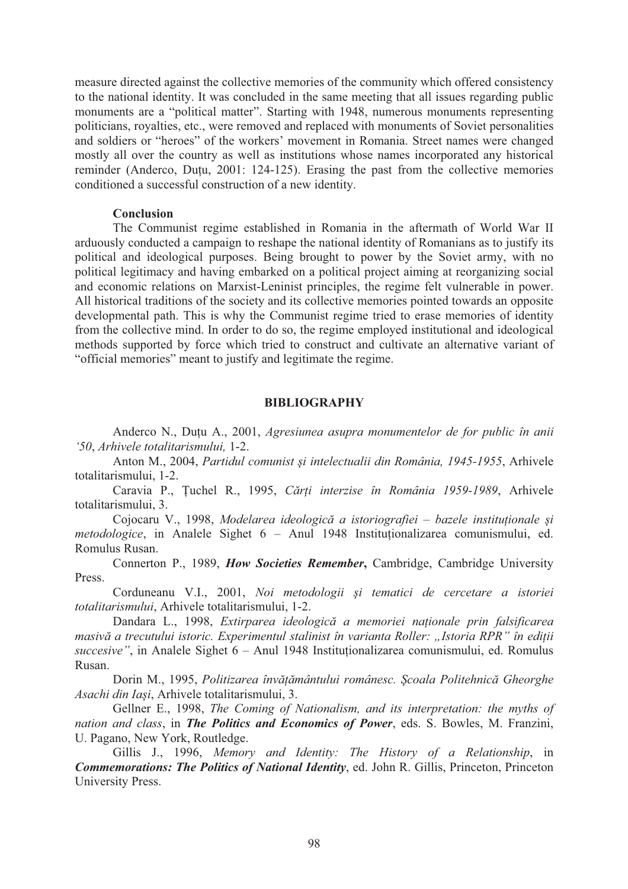measure directed against the collective memories of the community which offered consistency to the national identity. It was concluded in the same meeting that all issues regarding public monuments are a "political matter". Starting with 1948, numerous monuments representing politicians, royalties, etc., were removed and replaced with monuments of Soviet personalities and soldiers or "heroes" of the workers' movement in Romania. Street names were changed mostly all over the country as well as institutions whose names incorporated any historical reminder (Anderco, Duțu,  $2001$ : 124-125). Erasing the past from the collective memories conditioned a successful construction of a new identity.

### **Conclusion**

The Communist regime established in Romania in the aftermath of World War II arduously conducted a campaign to reshape the national identity of Romanians as to justify its political and ideological purposes. Being brought to power by the Soviet army, with no political legitimacy and having embarked on a political project aiming at reorganizing social and economic relations on Marxist-Leninist principles, the regime felt vulnerable in power. All historical traditions of the society and its collective memories pointed towards an opposite developmental path. This is why the Communist regime tried to erase memories of identity from the collective mind. In order to do so, the regime employed institutional and ideological methods supported by force which tried to construct and cultivate an alternative variant of "official memories" meant to justify and legitimate the regime.

## **BIBLIOGRAPHY**

Anderco N., Duțu A., 2001, *Agresiunea asupra monumentelor de for public în anii '50*, *Arhivele totalitarismului,* 1-2.

Anton M., 2004, *Partidul comunist și intelectualii din România, 1945-1955*, Arhivele totalitarismului, 1-2.

Caravia P., #uchel R., 1995, *C!r"i interzise în România 1959-1989*, Arhivele totalitarismului, 3.

Cojocaru V., 1998, *Modelarea ideologică a istoriografiei – bazele instituționale și metodologice*, in Analele Sighet 6 – Anul 1948 Institutionalizarea comunismului, ed. Romulus Rusan.

Connerton P., 1989, *How Societies Remember***,** Cambridge, Cambridge University Press.

Corduneanu V.I., 2001, *Noi metodologii și tematici de cercetare a istoriei totalitarismului*, Arhivele totalitarismului, 1-2.

Dandara L., 1998, *Extirparea ideologic! a memoriei na"ionale prin falsificarea masiv! a trecutului istoric. Experimentul stalinist în varianta Roller: "Istoria RPR" în edi"ii succesive"*, in Analele Sighet 6 – Anul 1948 Institutionalizarea comunismului, ed. Romulus Rusan.

Dorin M., 1995, *Politizarea înv!"!mântului românesc. #coala Politehnic! Gheorghe Asachi din Ia i*, Arhivele totalitarismului, 3.

Gellner E., 1998, *The Coming of Nationalism, and its interpretation: the myths of nation and class*, in *The Politics and Economics of Power*, eds. S. Bowles, M. Franzini, U. Pagano, New York, Routledge.

Gillis J., 1996, *Memory and Identity: The History of a Relationship*, in *Commemorations: The Politics of National Identity*, ed. John R. Gillis, Princeton, Princeton University Press.